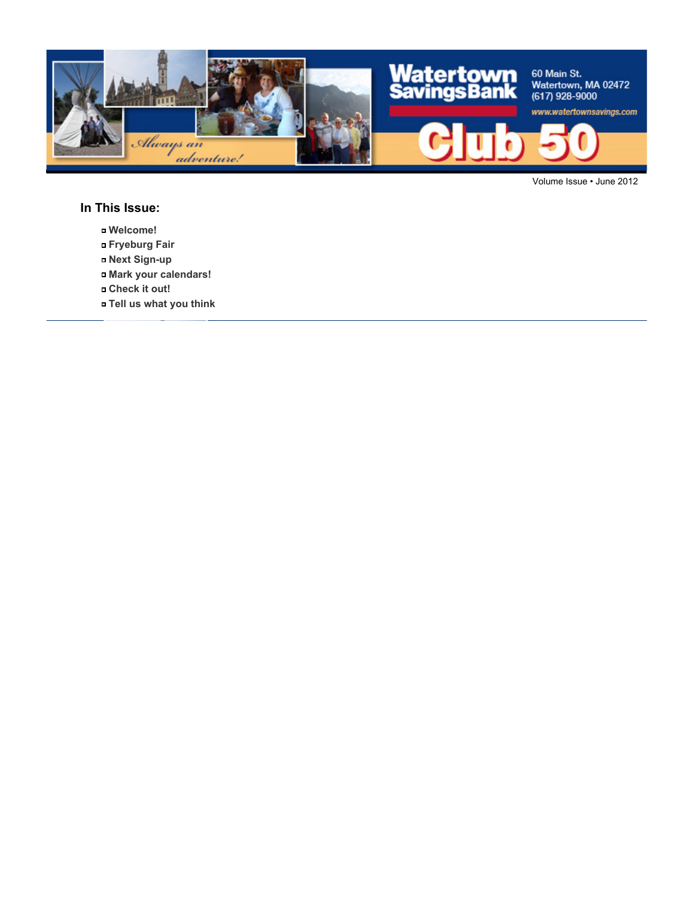

Volume Issue • June 2012

#### **In This Issue:**

- **Welcome!**
- **Fryeburg Fair**
- **Next Sign-up**
- **Mark your calendars!**
- **Check it out!**
- **Tell us what you think**



Joan Galgay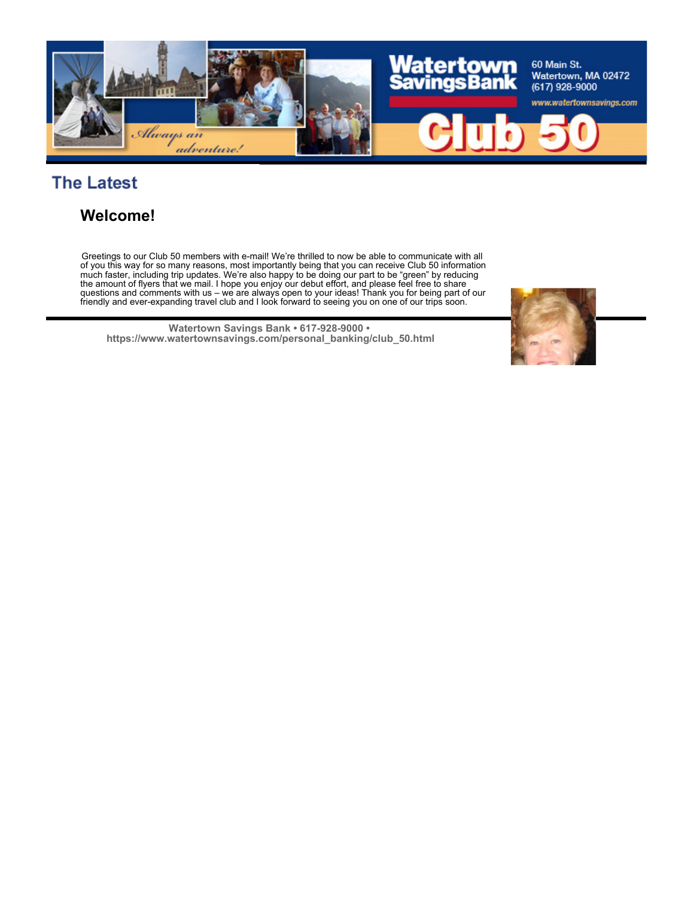

# **The Latest**

#### **Welcome!**

Greetings to our Club 50 members with e-mail! We're thrilled to now be able to communicate with all of you this way for so many reasons, most importantly being that you can receive Club 50 information much faster, including trip updates. We're also happy to be doing our part to be "green" by reducing the amount of flyers that we mail. I hope you enjoy our debut effort, and please feel free to share questions and comments with us – we are always open to your ideas! Thank you for being part of our friendly and ever-expanding travel club and I look forward to seeing you on one of our trips soon.

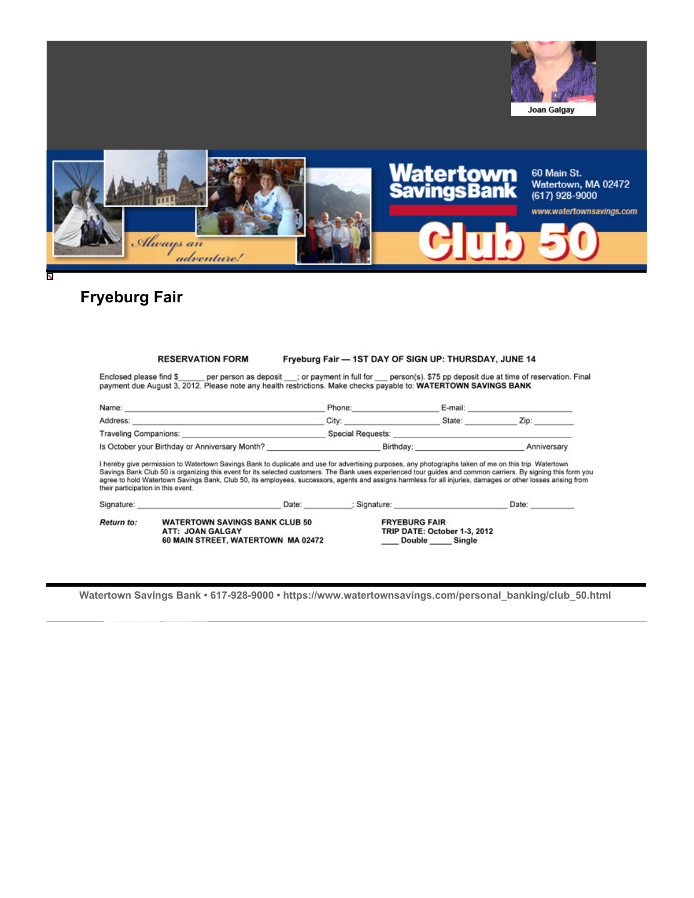![](_page_2_Picture_0.jpeg)

#### **Fryeburg Fair**

|                 | <b>RESERVATION FORM</b> |                         | Fryeburg Fair — 1ST DAY OF SIGN UP: THURSDAY, JUNE 14 |
|-----------------|-------------------------|-------------------------|-------------------------------------------------------|
| d nlogen find C | nos noscon oc donosis   | as no unant in full for | paraonic) C75 no deposit due of time of reconsei      |

 $..................$ 

Enclosed please find \$\_\_\_\_\_ per person as deposit \_\_; or payment in full for \_\_ person(s). \$75 pp deposit due at time of reservation. Final payment due August 3, 2012. Please note any health restrictions. Make checks payab

| Name:                                          | Phone:            | E-mail: |             |
|------------------------------------------------|-------------------|---------|-------------|
| Address:                                       | City:             | State:  | Zip.        |
| Traveling Companions:                          | Special Requests: |         |             |
| Is October your Birthday or Anniversary Month? | Birthday:         |         | Anniversary |

I hereby give permission to Watertown Savings Bank to duplicate and use for advertising purposes, any photographs taken of me on this trip. Watertown Savings Bank Club 50 is organizing this event for its selected customers. The Bank uses experienced tour guides and common carriers. By signing this form you agree to hold Watertown Savings Bank, Club 50, its employees, su

| Signature:        | Date:                                                                                           | Signature:                                                                      | Date: |
|-------------------|-------------------------------------------------------------------------------------------------|---------------------------------------------------------------------------------|-------|
| <b>Return to:</b> | <b>WATERTOWN SAVINGS BANK CLUB 50</b><br>ATT: JOAN GALGAY<br>60 MAIN STREET, WATERTOWN MA 02472 | <b>FRYEBURG FAIR</b><br>TRIP DATE: October 1-3, 2012<br>Double<br><b>Single</b> |       |

![](_page_2_Picture_8.jpeg)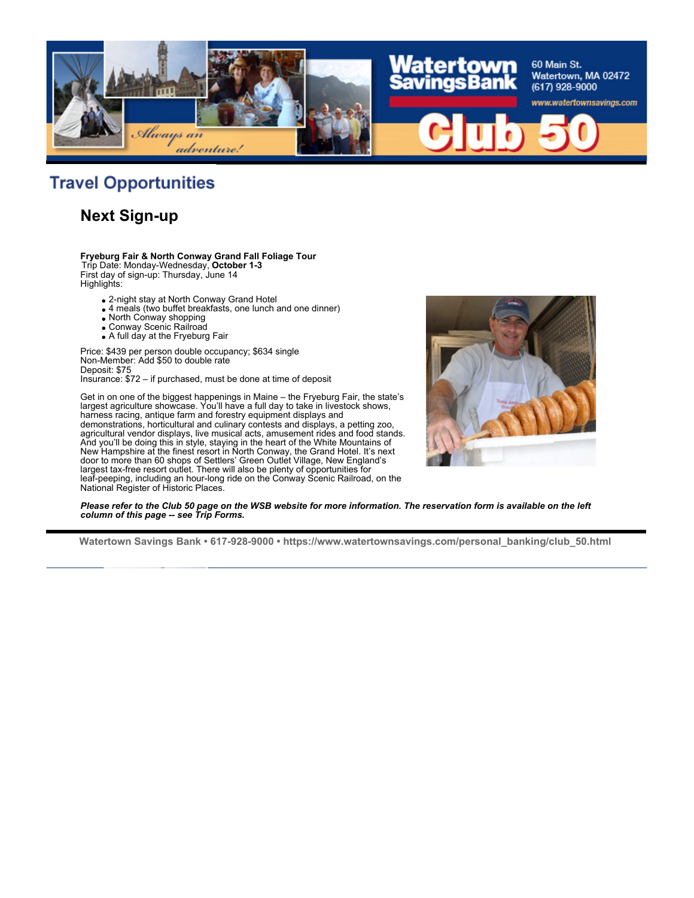![](_page_3_Picture_0.jpeg)

## **Travel Opportunities**

#### **Next Sign-up**

**Fryeburg Fair & North Conway Grand Fall Foliage Tour** Trip Date: Monday-Wednesday, **October 1-3** First day of sign-up: Thursday, June 14 Highlights:

- 2-night stay at North Conway Grand Hotel
- 4 meals (two buffet breakfasts, one lunch and one dinner)
- North Conway shopping
- Conway Scenic Railroad
- A full day at the Fryeburg Fair

Price: \$439 per person double occupancy; \$634 single Non-Member: Add \$50 to double rate Deposit: \$75 Insurance: \$72 – if purchased, must be done at time of deposit

Get in on one of the biggest happenings in Maine – the Fryeburg Fair, the state's largest agriculture showcase. You'll have a full day to take in livestock shows, harness racing, antique farm and forestry equipment displays and demonstrations, horticultural and culinary contests and displays, a petting zoo, agricultural vendor displays, live musical acts, amusement rides and food stands. And you'll be doing this in style, staying in the heart of the White Mountains of New Hampshire at the finest resort in North Conway, the Grand Hotel. It's next door to more than 60 shops of Settlers' Green Outlet Village, New England's largest tax-free resort outlet. There will also be plenty of opportunities for leaf-peeping, including an hour-long ride on the Conway Scenic Railroad, on the National Register of Historic Places.

![](_page_3_Picture_11.jpeg)

*Please refer to the Club 50 page on the WSB website for more information. The reservation form is available on the left column of this page -- see Trip Forms.*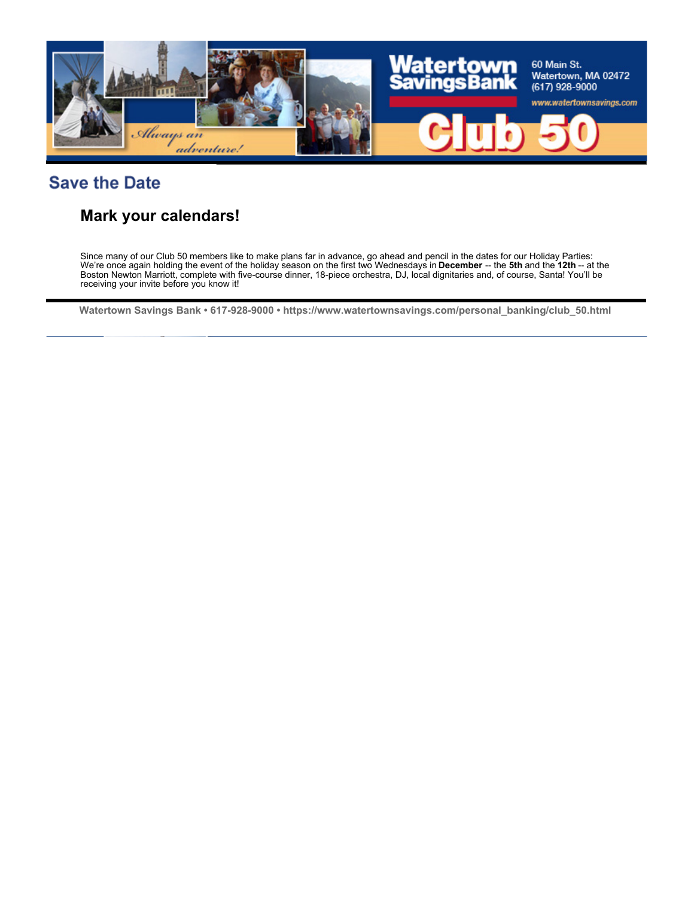![](_page_4_Picture_0.jpeg)

## **Save the Date**

#### **Mark your calendars!**

Since many of our Club 50 members like to make plans far in advance, go ahead and pencil in the dates for our Holiday Parties: We're once again holding the event of the holiday season on the first two Wednesdays in **December** -- the **5th** and the **12th** -- at the Boston Newton Marriott, complete with five-course dinner, 18-piece orchestra, DJ, local dignitaries and, of course, Santa! You'll be receiving your invite before you know it!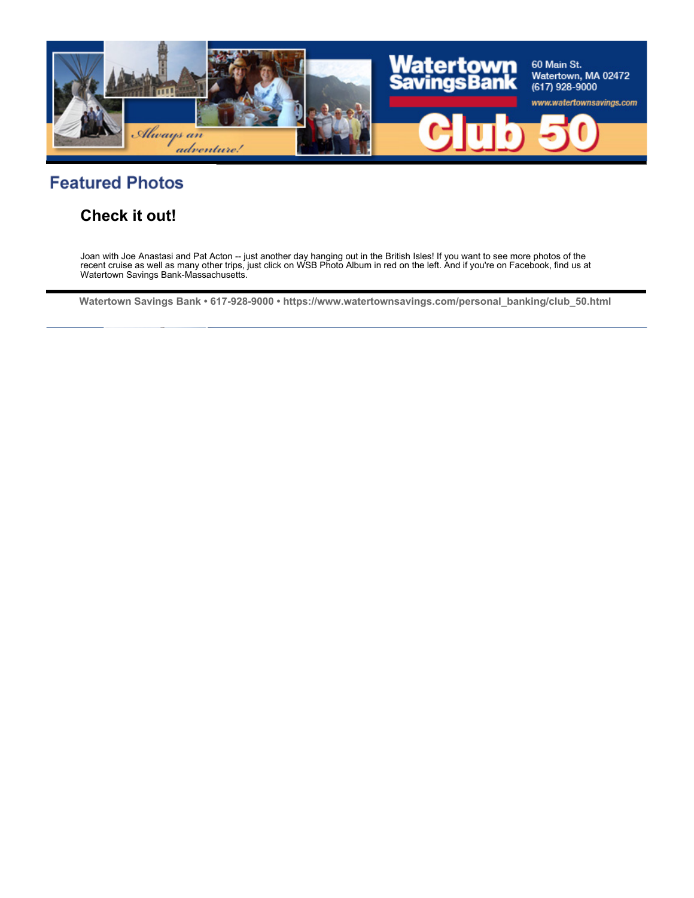![](_page_5_Picture_0.jpeg)

### **Featured Photos**

#### **Check it out!**

Joan with Joe Anastasi and Pat Acton -- just another day hanging out in the British Isles! If you want to see more photos of the recent cruise as well as many other trips, just click on WSB Photo Album in red on the left. And if you're on Facebook, find us at Watertown Savings Bank-Massachusetts.